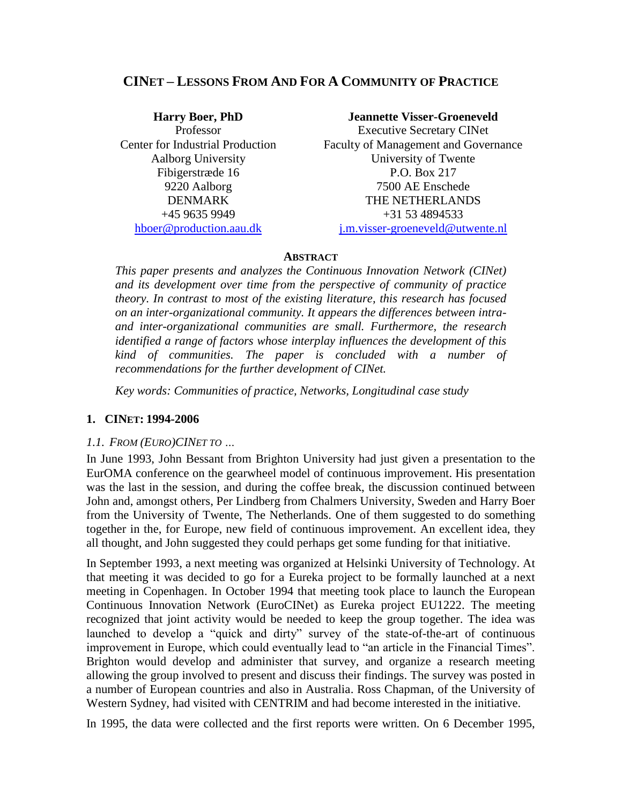## **CINET – LESSONS FROM AND FOR A COMMUNITY OF PRACTICE**

### **Harry Boer, PhD Jeannette Visser-Groeneveld**

Professor Executive Secretary CINet Center for Industrial Production Faculty of Management and Governance Aalborg University University of Twente Fibigerstræde 16 P.O. Box 217 9220 Aalborg 7500 AE Enschede DENMARK THE NETHERLANDS  $+4596359949$   $+31534894533$ [hboer@production.aau.dk](mailto:hboer@production.aau.dk) i.m.visser-groeneveld@utwente.nl

### **ABSTRACT**

*This paper presents and analyzes the Continuous Innovation Network (CINet) and its development over time from the perspective of community of practice theory. In contrast to most of the existing literature, this research has focused on an inter-organizational community. It appears the differences between intraand inter-organizational communities are small. Furthermore, the research identified a range of factors whose interplay influences the development of this kind of communities. The paper is concluded with a number of recommendations for the further development of CINet.*

*Key words: Communities of practice, Networks, Longitudinal case study*

### **1. CINET: 1994-2006**

### *1.1. FROM (EURO)CINET TO …*

In June 1993, John Bessant from Brighton University had just given a presentation to the EurOMA conference on the gearwheel model of continuous improvement. His presentation was the last in the session, and during the coffee break, the discussion continued between John and, amongst others, Per Lindberg from Chalmers University, Sweden and Harry Boer from the University of Twente, The Netherlands. One of them suggested to do something together in the, for Europe, new field of continuous improvement. An excellent idea, they all thought, and John suggested they could perhaps get some funding for that initiative.

In September 1993, a next meeting was organized at Helsinki University of Technology. At that meeting it was decided to go for a Eureka project to be formally launched at a next meeting in Copenhagen. In October 1994 that meeting took place to launch the European Continuous Innovation Network (EuroCINet) as Eureka project EU1222. The meeting recognized that joint activity would be needed to keep the group together. The idea was launched to develop a "quick and dirty" survey of the state-of-the-art of continuous improvement in Europe, which could eventually lead to "an article in the Financial Times". Brighton would develop and administer that survey, and organize a research meeting allowing the group involved to present and discuss their findings. The survey was posted in a number of European countries and also in Australia. Ross Chapman, of the University of Western Sydney, had visited with CENTRIM and had become interested in the initiative.

In 1995, the data were collected and the first reports were written. On 6 December 1995,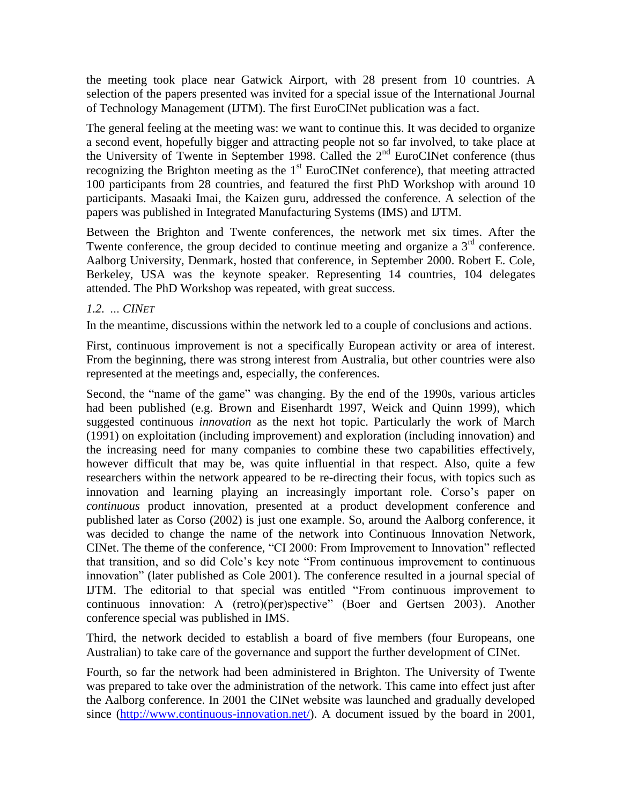the meeting took place near Gatwick Airport, with 28 present from 10 countries. A selection of the papers presented was invited for a special issue of the International Journal of Technology Management (IJTM). The first EuroCINet publication was a fact.

The general feeling at the meeting was: we want to continue this. It was decided to organize a second event, hopefully bigger and attracting people not so far involved, to take place at the University of Twente in September 1998. Called the 2<sup>nd</sup> EuroCINet conference (thus recognizing the Brighton meeting as the  $1<sup>st</sup>$  EuroCINet conference), that meeting attracted 100 participants from 28 countries, and featured the first PhD Workshop with around 10 participants. Masaaki Imai, the Kaizen guru, addressed the conference. A selection of the papers was published in Integrated Manufacturing Systems (IMS) and IJTM.

Between the Brighton and Twente conferences, the network met six times. After the Twente conference, the group decided to continue meeting and organize a 3<sup>rd</sup> conference. Aalborg University, Denmark, hosted that conference, in September 2000. Robert E. Cole, Berkeley, USA was the keynote speaker. Representing 14 countries, 104 delegates attended. The PhD Workshop was repeated, with great success.

### *1.2. … CINET*

In the meantime, discussions within the network led to a couple of conclusions and actions.

First, continuous improvement is not a specifically European activity or area of interest. From the beginning, there was strong interest from Australia, but other countries were also represented at the meetings and, especially, the conferences.

Second, the "name of the game" was changing. By the end of the 1990s, various articles had been published (e.g. Brown and Eisenhardt 1997, Weick and Quinn 1999), which suggested continuous *innovation* as the next hot topic. Particularly the work of March (1991) on exploitation (including improvement) and exploration (including innovation) and the increasing need for many companies to combine these two capabilities effectively, however difficult that may be, was quite influential in that respect. Also, quite a few researchers within the network appeared to be re-directing their focus, with topics such as innovation and learning playing an increasingly important role. Corso's paper on *continuous* product innovation, presented at a product development conference and published later as Corso (2002) is just one example. So, around the Aalborg conference, it was decided to change the name of the network into Continuous Innovation Network, CINet. The theme of the conference, "CI 2000: From Improvement to Innovation" reflected that transition, and so did Cole's key note "From continuous improvement to continuous innovation" (later published as Cole 2001). The conference resulted in a journal special of IJTM. The editorial to that special was entitled "From continuous improvement to continuous innovation: A (retro)(per)spective" (Boer and Gertsen 2003). Another conference special was published in IMS.

Third, the network decided to establish a board of five members (four Europeans, one Australian) to take care of the governance and support the further development of CINet.

Fourth, so far the network had been administered in Brighton. The University of Twente was prepared to take over the administration of the network. This came into effect just after the Aalborg conference. In 2001 the CINet website was launched and gradually developed since [\(http://www.continuous-innovation.net/\)](http://www.continuous-innovation.net/). A document issued by the board in 2001,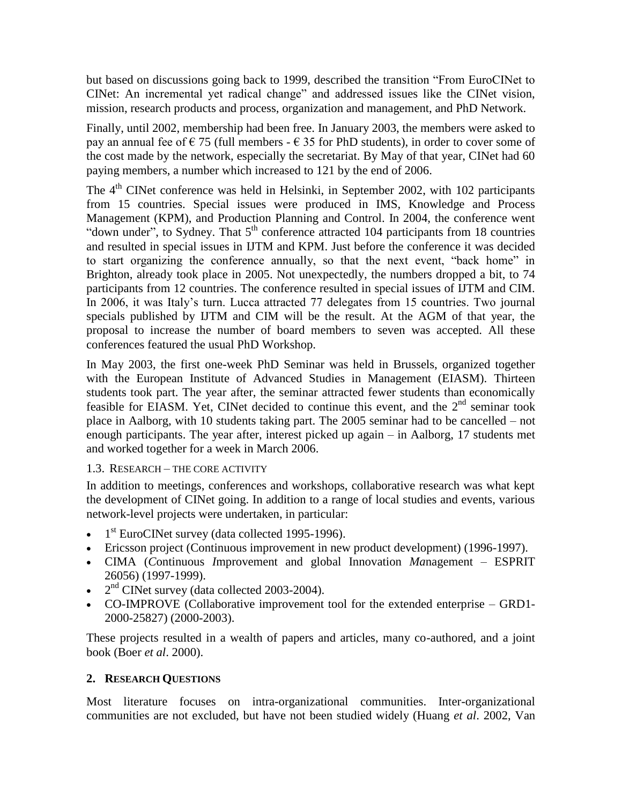but based on discussions going back to 1999, described the transition "From EuroCINet to CINet: An incremental yet radical change" and addressed issues like the CINet vision, mission, research products and process, organization and management, and PhD Network.

Finally, until 2002, membership had been free. In January 2003, the members were asked to pay an annual fee of  $\epsilon$  75 (full members -  $\epsilon$  35 for PhD students), in order to cover some of the cost made by the network, especially the secretariat. By May of that year, CINet had 60 paying members, a number which increased to 121 by the end of 2006.

The 4<sup>th</sup> CINet conference was held in Helsinki, in September 2002, with 102 participants from 15 countries. Special issues were produced in IMS, Knowledge and Process Management (KPM), and Production Planning and Control. In 2004, the conference went "down under", to Sydney. That  $5<sup>th</sup>$  conference attracted 104 participants from 18 countries and resulted in special issues in IJTM and KPM. Just before the conference it was decided to start organizing the conference annually, so that the next event, "back home" in Brighton, already took place in 2005. Not unexpectedly, the numbers dropped a bit, to 74 participants from 12 countries. The conference resulted in special issues of IJTM and CIM. In 2006, it was Italy's turn. Lucca attracted 77 delegates from 15 countries. Two journal specials published by IJTM and CIM will be the result. At the AGM of that year, the proposal to increase the number of board members to seven was accepted. All these conferences featured the usual PhD Workshop.

In May 2003, the first one-week PhD Seminar was held in Brussels, organized together with the European Institute of Advanced Studies in Management (EIASM). Thirteen students took part. The year after, the seminar attracted fewer students than economically feasible for EIASM. Yet, CINet decided to continue this event, and the  $2<sup>nd</sup>$  seminar took place in Aalborg, with 10 students taking part. The 2005 seminar had to be cancelled – not enough participants. The year after, interest picked up again – in Aalborg, 17 students met and worked together for a week in March 2006.

## 1.3. RESEARCH – THE CORE ACTIVITY

In addition to meetings, conferences and workshops, collaborative research was what kept the development of CINet going. In addition to a range of local studies and events, various network-level projects were undertaken, in particular:

- $\bullet$  1<sup>st</sup> EuroCINet survey (data collected 1995-1996).
- Ericsson project (Continuous improvement in new product development) (1996-1997).
- CIMA (*C*ontinuous *I*mprovement and global Innovation *Ma*nagement ESPRIT 26056) (1997-1999).
- $\bullet$   $2<sup>nd</sup>$  CINet survey (data collected 2003-2004).
- CO-IMPROVE (Collaborative improvement tool for the extended enterprise GRD1- 2000-25827) (2000-2003).

These projects resulted in a wealth of papers and articles, many co-authored, and a joint book (Boer *et al*. 2000).

## **2. RESEARCH QUESTIONS**

Most literature focuses on intra-organizational communities. Inter-organizational communities are not excluded, but have not been studied widely (Huang *et al*. 2002, Van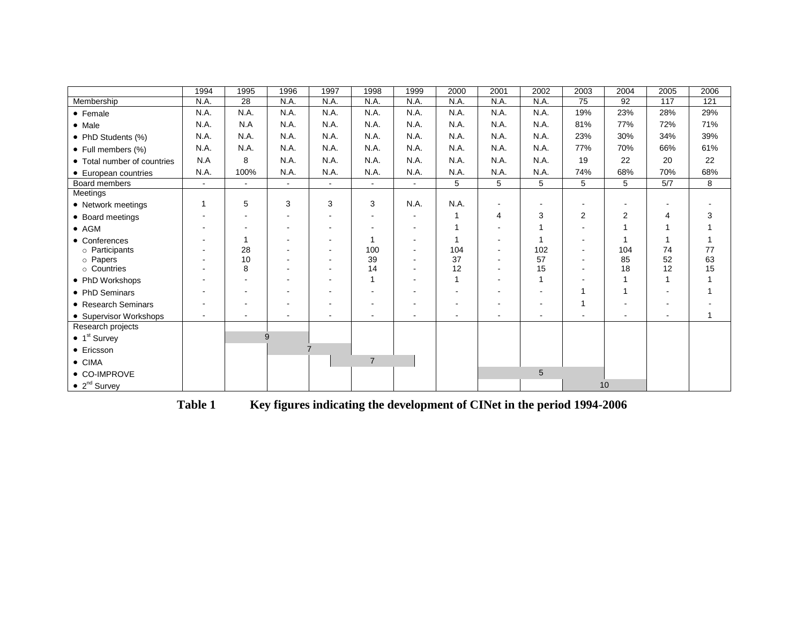|                                  | 1994           | 1995   | 1996           | 1997                     | 1998                     | 1999   | 2000 | 2001                     | 2002           | 2003 | 2004           | 2005 | 2006 |
|----------------------------------|----------------|--------|----------------|--------------------------|--------------------------|--------|------|--------------------------|----------------|------|----------------|------|------|
| Membership                       | N.A.           | 28     | N.A.           | N.A.                     | N.A.                     | N.A.   | N.A. | N.A.                     | N.A.           | 75   | 92             | 117  | 121  |
| • Female                         | N.A.           | N.A.   | N.A.           | N.A.                     | N.A.                     | N.A.   | N.A. | N.A.                     | N.A.           | 19%  | 23%            | 28%  | 29%  |
| • Male                           | N.A.           | N.A    | N.A.           | N.A.                     | N.A.                     | N.A.   | N.A. | N.A.                     | N.A.           | 81%  | 77%            | 72%  | 71%  |
| • PhD Students (%)               | N.A.           | N.A.   | N.A.           | N.A.                     | N.A.                     | N.A.   | N.A. | N.A.                     | N.A.           | 23%  | 30%            | 34%  | 39%  |
| • Full members (%)               | N.A.           | N.A.   | N.A.           | N.A.                     | N.A.                     | N.A.   | N.A. | N.A.                     | N.A.           | 77%  | 70%            | 66%  | 61%  |
| • Total number of countries      | N.A            | 8      | N.A.           | N.A.                     | N.A.                     | N.A.   | N.A. | N.A.                     | N.A.           | 19   | 22             | 20   | 22   |
| • European countries             | N.A.           | 100%   | N.A.           | N.A.                     | N.A.                     | N.A.   | N.A. | N.A.                     | N.A.           | 74%  | 68%            | 70%  | 68%  |
| Board members                    | $\sim$         | $\sim$ | $\sim$         | $\blacksquare$           | $\blacksquare$           | $\sim$ | 5    | 5                        | $\overline{5}$ | 5    | 5              | 5/7  | 8    |
| Meetings                         |                |        |                |                          |                          |        |      |                          |                |      |                |      |      |
| • Network meetings               | 1              | 5      | 3              | 3                        | 3                        | N.A.   | N.A. | $\overline{\phantom{a}}$ |                |      |                |      |      |
| • Board meetings                 |                |        |                |                          | $\sim$                   |        |      | 4                        | 3              | 2    | $\overline{2}$ | 4    |      |
| $\bullet$ AGM                    |                |        |                | $\overline{\phantom{a}}$ |                          |        |      |                          |                |      |                | 1    |      |
| • Conferences                    |                | 1      |                | $\overline{\phantom{a}}$ | 1                        |        |      |                          |                |      |                | 1    |      |
| o Participants                   |                | 28     |                | $\overline{\phantom{a}}$ | 100                      |        | 104  |                          | 102            |      | 104            | 74   | 77   |
| o Papers                         |                | 10     |                | $\overline{\phantom{a}}$ | 39                       |        | 37   |                          | 57             |      | 85             | 52   | 63   |
| o Countries                      |                | 8      |                |                          | 14                       |        | 12   |                          | 15             |      | 18             | 12   | 15   |
| • PhD Workshops                  |                |        |                |                          |                          |        |      |                          |                |      |                | 1    |      |
| • PhD Seminars                   |                |        |                | $\overline{\phantom{a}}$ | $\overline{\phantom{a}}$ |        |      | $\overline{\phantom{a}}$ | $\blacksquare$ |      |                |      |      |
| • Research Seminars              |                |        |                |                          |                          |        |      |                          |                |      |                |      |      |
| • Supervisor Workshops           | $\blacksquare$ |        |                | $\overline{\phantom{a}}$ | $\overline{\phantom{a}}$ |        |      |                          | $\blacksquare$ |      |                |      |      |
| Research projects                |                |        |                |                          |                          |        |      |                          |                |      |                |      |      |
| $\bullet$ 1 <sup>st</sup> Survey |                |        | 9              |                          |                          |        |      |                          |                |      |                |      |      |
| • Ericsson                       |                |        | $\overline{7}$ |                          |                          |        |      |                          |                |      |                |      |      |
| $\bullet$ CIMA                   |                |        |                |                          | $\overline{7}$           |        |      |                          |                |      |                |      |      |
| • CO-IMPROVE                     |                |        |                |                          |                          |        |      |                          | 5              |      |                |      |      |
| $\bullet$ 2 <sup>nd</sup> Survey |                |        |                |                          |                          |        |      |                          |                | 10   |                |      |      |

**Table 1 Key figures indicating the development of CINet in the period 1994-2006**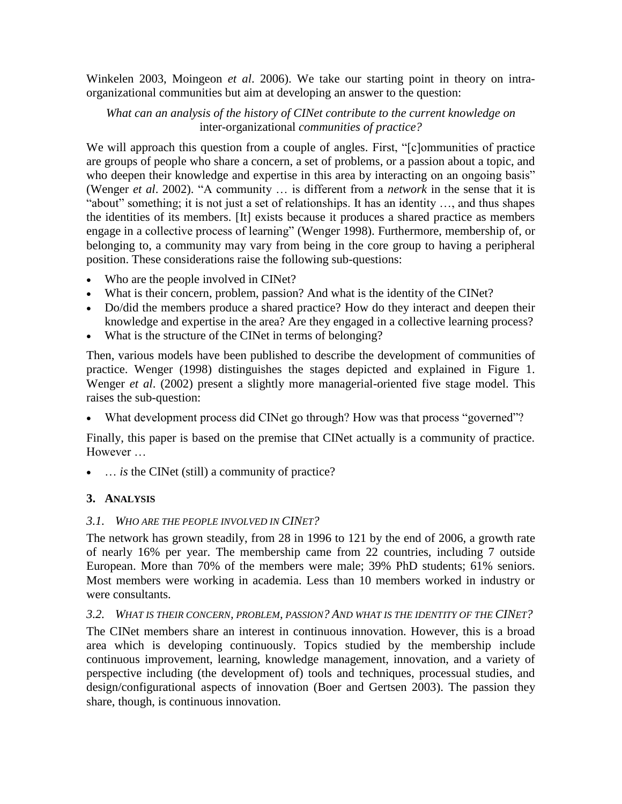Winkelen 2003, Moingeon *et al*. 2006). We take our starting point in theory on intraorganizational communities but aim at developing an answer to the question:

## *What can an analysis of the history of CINet contribute to the current knowledge on*  inter-organizational *communities of practice?*

We will approach this question from a couple of angles. First, "[c]ommunities of practice are groups of people who share a concern, a set of problems, or a passion about a topic, and who deepen their knowledge and expertise in this area by interacting on an ongoing basis" (Wenger *et al*. 2002). "A community … is different from a *network* in the sense that it is "about" something; it is not just a set of relationships. It has an identity …, and thus shapes the identities of its members. [It] exists because it produces a shared practice as members engage in a collective process of learning" (Wenger 1998). Furthermore, membership of, or belonging to, a community may vary from being in the core group to having a peripheral position. These considerations raise the following sub-questions:

- Who are the people involved in CINet?
- What is their concern, problem, passion? And what is the identity of the CINet?
- Do/did the members produce a shared practice? How do they interact and deepen their knowledge and expertise in the area? Are they engaged in a collective learning process?
- What is the structure of the CINet in terms of belonging?

Then, various models have been published to describe the development of communities of practice. Wenger (1998) distinguishes the stages depicted and explained in Figure 1. Wenger *et al*. (2002) present a slightly more managerial-oriented five stage model. This raises the sub-question:

What development process did CINet go through? How was that process "governed"?

Finally, this paper is based on the premise that CINet actually is a community of practice. However …

• ... *is* the CINet (still) a community of practice?

# **3. ANALYSIS**

## *3.1. WHO ARE THE PEOPLE INVOLVED IN CINET?*

The network has grown steadily, from 28 in 1996 to 121 by the end of 2006, a growth rate of nearly 16% per year. The membership came from 22 countries, including 7 outside European. More than 70% of the members were male; 39% PhD students; 61% seniors. Most members were working in academia. Less than 10 members worked in industry or were consultants.

## *3.2. WHAT IS THEIR CONCERN, PROBLEM, PASSION? AND WHAT IS THE IDENTITY OF THE CINET?*

The CINet members share an interest in continuous innovation. However, this is a broad area which is developing continuously. Topics studied by the membership include continuous improvement, learning, knowledge management, innovation, and a variety of perspective including (the development of) tools and techniques, processual studies, and design/configurational aspects of innovation (Boer and Gertsen 2003). The passion they share, though, is continuous innovation.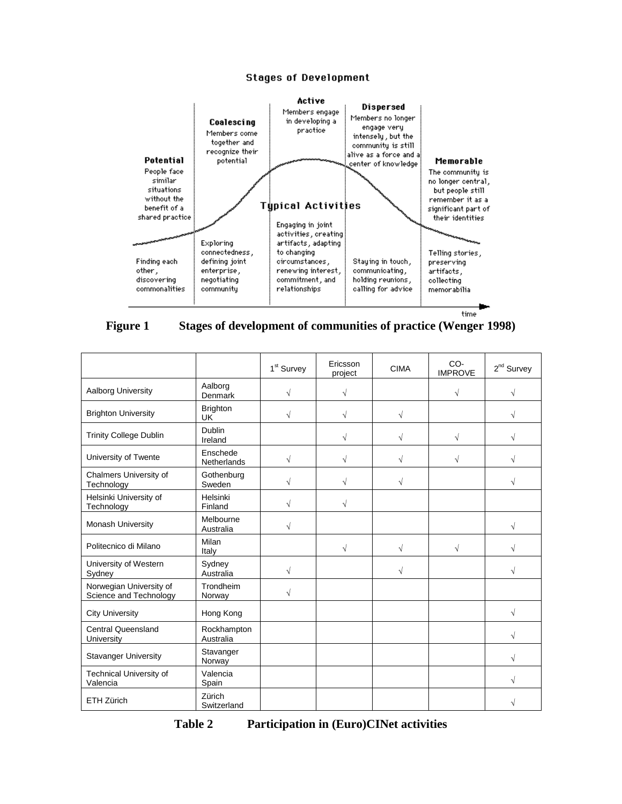#### **Stages of Development**



### **Figure 1 Stages of development of communities of practice (Wenger 1998)**

|                                                   |                                | 1 <sup>st</sup> Survey | Ericsson<br>project | <b>CIMA</b> | CO-<br><b>IMPROVE</b> | $2^{nd}$ Survey |
|---------------------------------------------------|--------------------------------|------------------------|---------------------|-------------|-----------------------|-----------------|
| Aalborg University                                | Aalborg<br>Denmark             | $\sqrt{}$              | $\sqrt{ }$          |             | $\sqrt{}$             | V               |
| <b>Brighton University</b>                        | <b>Brighton</b><br><b>UK</b>   | $\sqrt{ }$             | $\sqrt{}$           | $\sqrt{}$   |                       | V               |
| <b>Trinity College Dublin</b>                     | <b>Dublin</b><br>Ireland       |                        | √                   |             | V                     | V               |
| University of Twente                              | Enschede<br><b>Netherlands</b> | $\sqrt{}$              | $\sqrt{ }$          | V           | $\sqrt{}$             | V               |
| Chalmers University of<br>Technology              | Gothenburg<br>Sweden           | $\sqrt{ }$             | $\sqrt{}$           | √           |                       | V               |
| Helsinki University of<br>Technology              | Helsinki<br>Finland            | $\sqrt{ }$             | $\sqrt{ }$          |             |                       |                 |
| <b>Monash University</b>                          | Melbourne<br>Australia         | $\sqrt{ }$             |                     |             |                       | $\sqrt{}$       |
| Politecnico di Milano                             | Milan<br>Italy                 |                        | $\sqrt{}$           | $\sqrt{}$   | $\sqrt{}$             | V               |
| University of Western<br>Sydney                   | Sydney<br>Australia            | $\sqrt{ }$             |                     | V           |                       | V               |
| Norwegian University of<br>Science and Technology | Trondheim<br>Norway            | $\sqrt{ }$             |                     |             |                       |                 |
| <b>City University</b>                            | Hong Kong                      |                        |                     |             |                       | $\sqrt{}$       |
| <b>Central Queensland</b><br>University           | Rockhampton<br>Australia       |                        |                     |             |                       | V               |
| <b>Stavanger University</b>                       | Stavanger<br>Norway            |                        |                     |             |                       | V               |
| <b>Technical University of</b><br>Valencia        | Valencia<br>Spain              |                        |                     |             |                       | V               |
| <b>ETH Zürich</b>                                 | Zürich<br>Switzerland          |                        |                     |             |                       | N               |

**Table 2 Participation in (Euro)CINet activities**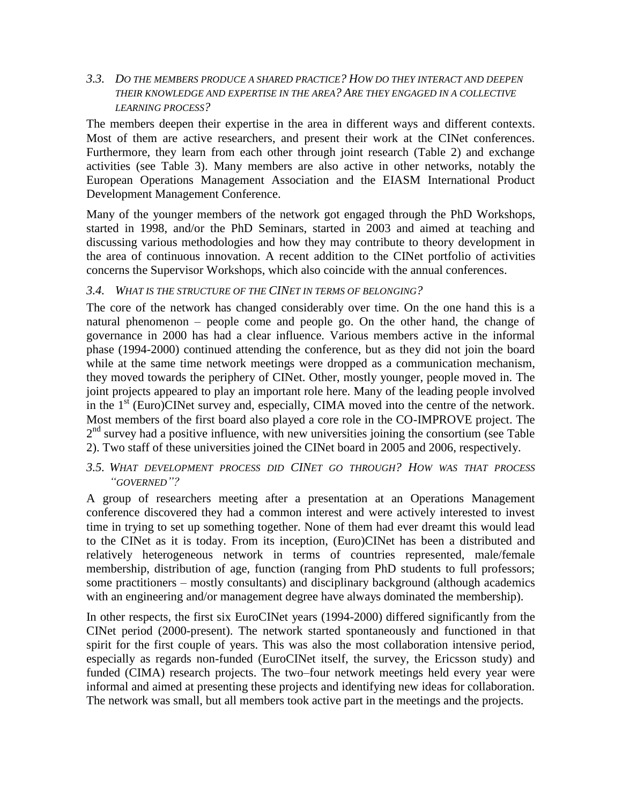### *3.3. DO THE MEMBERS PRODUCE A SHARED PRACTICE? HOW DO THEY INTERACT AND DEEPEN THEIR KNOWLEDGE AND EXPERTISE IN THE AREA? ARE THEY ENGAGED IN A COLLECTIVE LEARNING PROCESS?*

The members deepen their expertise in the area in different ways and different contexts. Most of them are active researchers, and present their work at the CINet conferences. Furthermore, they learn from each other through joint research (Table 2) and exchange activities (see Table 3). Many members are also active in other networks, notably the European Operations Management Association and the EIASM International Product Development Management Conference.

Many of the younger members of the network got engaged through the PhD Workshops, started in 1998, and/or the PhD Seminars, started in 2003 and aimed at teaching and discussing various methodologies and how they may contribute to theory development in the area of continuous innovation. A recent addition to the CINet portfolio of activities concerns the Supervisor Workshops, which also coincide with the annual conferences.

### *3.4. WHAT IS THE STRUCTURE OF THE CINET IN TERMS OF BELONGING?*

The core of the network has changed considerably over time. On the one hand this is a natural phenomenon – people come and people go. On the other hand, the change of governance in 2000 has had a clear influence. Various members active in the informal phase (1994-2000) continued attending the conference, but as they did not join the board while at the same time network meetings were dropped as a communication mechanism, they moved towards the periphery of CINet. Other, mostly younger, people moved in. The joint projects appeared to play an important role here. Many of the leading people involved in the 1<sup>st</sup> (Euro)CINet survey and, especially, CIMA moved into the centre of the network. Most members of the first board also played a core role in the CO-IMPROVE project. The 2<sup>nd</sup> survey had a positive influence, with new universities joining the consortium (see Table 2). Two staff of these universities joined the CINet board in 2005 and 2006, respectively.

### *3.5. WHAT DEVELOPMENT PROCESS DID CINET GO THROUGH? HOW WAS THAT PROCESS "GOVERNED"?*

A group of researchers meeting after a presentation at an Operations Management conference discovered they had a common interest and were actively interested to invest time in trying to set up something together. None of them had ever dreamt this would lead to the CINet as it is today. From its inception, (Euro)CINet has been a distributed and relatively heterogeneous network in terms of countries represented, male/female membership, distribution of age, function (ranging from PhD students to full professors; some practitioners – mostly consultants) and disciplinary background (although academics with an engineering and/or management degree have always dominated the membership).

In other respects, the first six EuroCINet years (1994-2000) differed significantly from the CINet period (2000-present). The network started spontaneously and functioned in that spirit for the first couple of years. This was also the most collaboration intensive period, especially as regards non-funded (EuroCINet itself, the survey, the Ericsson study) and funded (CIMA) research projects. The two–four network meetings held every year were informal and aimed at presenting these projects and identifying new ideas for collaboration. The network was small, but all members took active part in the meetings and the projects.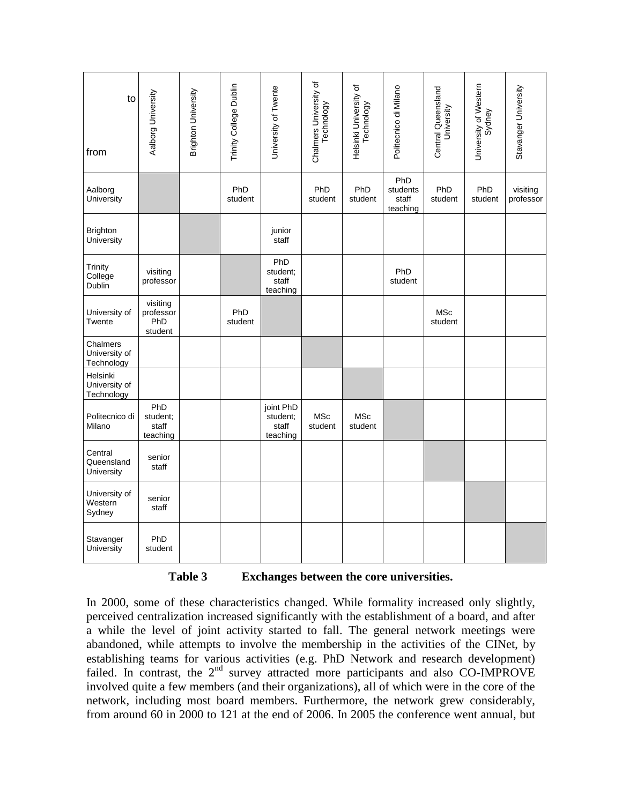| to<br>from                              | Aalborg University                      | Brighton University | Trinity College Dublin | University of Twente                       | Chalmers University of<br>Technology | Helsinki University of<br>Technology | Politecnico di Milano                | Central Queensland<br>University | University of Western<br>Sydney | Stavanger University  |
|-----------------------------------------|-----------------------------------------|---------------------|------------------------|--------------------------------------------|--------------------------------------|--------------------------------------|--------------------------------------|----------------------------------|---------------------------------|-----------------------|
| Aalborg<br>University                   |                                         |                     | PhD<br>student         |                                            | PhD<br>student                       | PhD<br>student                       | PhD<br>students<br>staff<br>teaching | PhD<br>student                   | PhD<br>student                  | visiting<br>professor |
| <b>Brighton</b><br>University           |                                         |                     |                        | junior<br>staff                            |                                      |                                      |                                      |                                  |                                 |                       |
| Trinity<br>College<br>Dublin            | visiting<br>professor                   |                     |                        | PhD<br>student:<br>staff<br>teaching       |                                      |                                      | PhD<br>student                       |                                  |                                 |                       |
| University of<br>Twente                 | visiting<br>professor<br>PhD<br>student |                     | PhD<br>student         |                                            |                                      |                                      |                                      | <b>MSc</b><br>student            |                                 |                       |
| Chalmers<br>University of<br>Technology |                                         |                     |                        |                                            |                                      |                                      |                                      |                                  |                                 |                       |
| Helsinki<br>University of<br>Technology |                                         |                     |                        |                                            |                                      |                                      |                                      |                                  |                                 |                       |
| Politecnico di<br>Milano                | PhD<br>student;<br>staff<br>teaching    |                     |                        | joint PhD<br>student;<br>staff<br>teaching | <b>MSc</b><br>student                | <b>MSc</b><br>student                |                                      |                                  |                                 |                       |
| Central<br>Queensland<br>University     | senior<br>staff                         |                     |                        |                                            |                                      |                                      |                                      |                                  |                                 |                       |
| University of<br>Western<br>Sydney      | senior<br>staff                         |                     |                        |                                            |                                      |                                      |                                      |                                  |                                 |                       |
| Stavanger<br>University                 | PhD<br>student                          |                     |                        |                                            |                                      |                                      |                                      |                                  |                                 |                       |

**Table 3 Exchanges between the core universities.**

In 2000, some of these characteristics changed. While formality increased only slightly, perceived centralization increased significantly with the establishment of a board, and after a while the level of joint activity started to fall. The general network meetings were abandoned, while attempts to involve the membership in the activities of the CINet, by establishing teams for various activities (e.g. PhD Network and research development) failed. In contrast, the 2<sup>nd</sup> survey attracted more participants and also CO-IMPROVE involved quite a few members (and their organizations), all of which were in the core of the network, including most board members. Furthermore, the network grew considerably, from around 60 in 2000 to 121 at the end of 2006. In 2005 the conference went annual, but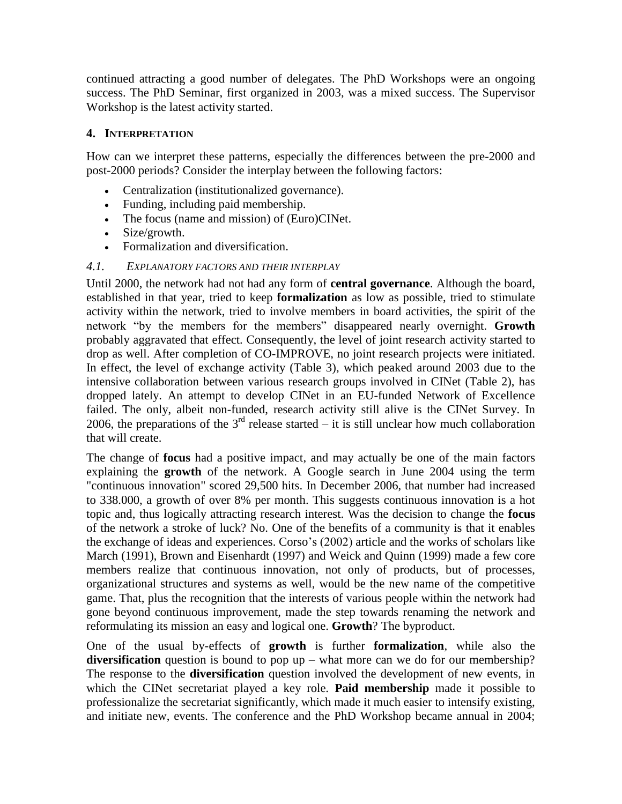continued attracting a good number of delegates. The PhD Workshops were an ongoing success. The PhD Seminar, first organized in 2003, was a mixed success. The Supervisor Workshop is the latest activity started.

## **4. INTERPRETATION**

How can we interpret these patterns, especially the differences between the pre-2000 and post-2000 periods? Consider the interplay between the following factors:

- Centralization (institutionalized governance).
- Funding, including paid membership.
- The focus (name and mission) of (Euro)CINet.
- Size/growth.
- Formalization and diversification.

### *4.1. EXPLANATORY FACTORS AND THEIR INTERPLAY*

Until 2000, the network had not had any form of **central governance**. Although the board, established in that year, tried to keep **formalization** as low as possible, tried to stimulate activity within the network, tried to involve members in board activities, the spirit of the network "by the members for the members" disappeared nearly overnight. **Growth** probably aggravated that effect. Consequently, the level of joint research activity started to drop as well. After completion of CO-IMPROVE, no joint research projects were initiated. In effect, the level of exchange activity (Table 3), which peaked around 2003 due to the intensive collaboration between various research groups involved in CINet (Table 2), has dropped lately. An attempt to develop CINet in an EU-funded Network of Excellence failed. The only, albeit non-funded, research activity still alive is the CINet Survey. In 2006, the preparations of the  $3<sup>rd</sup>$  release started – it is still unclear how much collaboration that will create.

The change of **focus** had a positive impact, and may actually be one of the main factors explaining the **growth** of the network. A Google search in June 2004 using the term "continuous innovation" scored 29,500 hits. In December 2006, that number had increased to 338.000, a growth of over 8% per month. This suggests continuous innovation is a hot topic and, thus logically attracting research interest. Was the decision to change the **focus** of the network a stroke of luck? No. One of the benefits of a community is that it enables the exchange of ideas and experiences. Corso's (2002) article and the works of scholars like March (1991), Brown and Eisenhardt (1997) and Weick and Quinn (1999) made a few core members realize that continuous innovation, not only of products, but of processes, organizational structures and systems as well, would be the new name of the competitive game. That, plus the recognition that the interests of various people within the network had gone beyond continuous improvement, made the step towards renaming the network and reformulating its mission an easy and logical one. **Growth**? The byproduct.

One of the usual by-effects of **growth** is further **formalization**, while also the **diversification** question is bound to pop up – what more can we do for our membership? The response to the **diversification** question involved the development of new events, in which the CINet secretariat played a key role. **Paid membership** made it possible to professionalize the secretariat significantly, which made it much easier to intensify existing, and initiate new, events. The conference and the PhD Workshop became annual in 2004;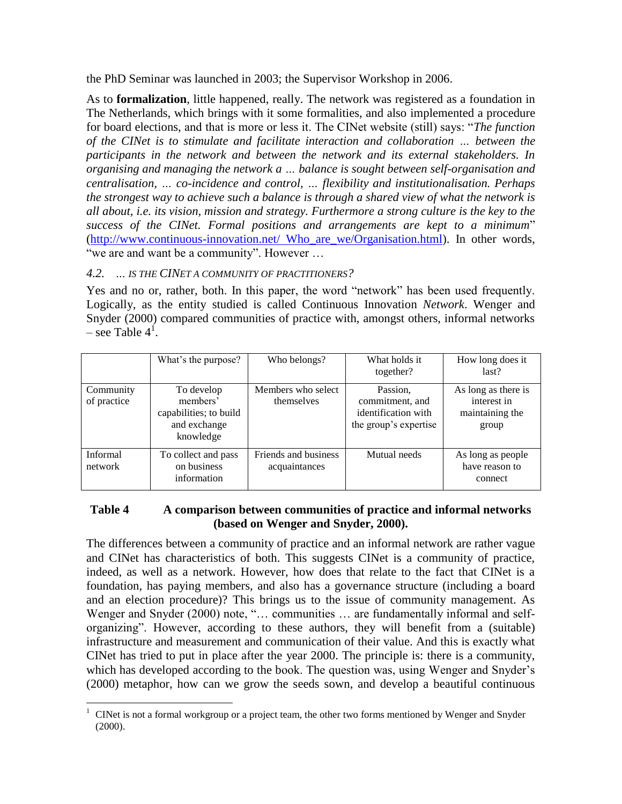the PhD Seminar was launched in 2003; the Supervisor Workshop in 2006.

As to **formalization**, little happened, really. The network was registered as a foundation in The Netherlands, which brings with it some formalities, and also implemented a procedure for board elections, and that is more or less it. The CINet website (still) says: "*The function of the CINet is to stimulate and facilitate interaction and collaboration … between the participants in the network and between the network and its external stakeholders. In organising and managing the network a … balance is sought between self-organisation and centralisation, … co-incidence and control, … flexibility and institutionalisation. Perhaps the strongest way to achieve such a balance is through a shared view of what the network is all about, i.e. its vision, mission and strategy. Furthermore a strong culture is the key to the success of the CINet. Formal positions and arrangements are kept to a minimum*" [\(http://www.continuous-innovation.net/ Who\\_are\\_we/Organisation.html\)](http://www.continuous-innovation.net/%20Who_are_we/Organisation.html). In other words, "we are and want be a community". However …

# *4.2. … IS THE CINET A COMMUNITY OF PRACTITIONERS?*

Yes and no or, rather, both. In this paper, the word "network" has been used frequently. Logically, as the entity studied is called Continuous Innovation *Network*. Wenger and Snyder (2000) compared communities of practice with, amongst others, informal networks – see Table  $4^1$ .

|                            | What's the purpose?                                                           | Who belongs?                          | What holds it<br>together?                                                  | How long does it<br>last?                                      |
|----------------------------|-------------------------------------------------------------------------------|---------------------------------------|-----------------------------------------------------------------------------|----------------------------------------------------------------|
| Community<br>of practice   | To develop<br>members'<br>capabilities; to build<br>and exchange<br>knowledge | Members who select<br>themselves      | Passion,<br>commitment, and<br>identification with<br>the group's expertise | As long as there is<br>interest in<br>maintaining the<br>group |
| <b>Informal</b><br>network | To collect and pass<br>on business<br>information                             | Friends and business<br>acquaintances | Mutual needs                                                                | As long as people<br>have reason to<br>connect                 |

## **Table 4 A comparison between communities of practice and informal networks (based on Wenger and Snyder, 2000).**

The differences between a community of practice and an informal network are rather vague and CINet has characteristics of both. This suggests CINet is a community of practice, indeed, as well as a network. However, how does that relate to the fact that CINet is a foundation, has paying members, and also has a governance structure (including a board and an election procedure)? This brings us to the issue of community management. As Wenger and Snyder (2000) note, "… communities … are fundamentally informal and selforganizing". However, according to these authors, they will benefit from a (suitable) infrastructure and measurement and communication of their value. And this is exactly what CINet has tried to put in place after the year 2000. The principle is: there is a community, which has developed according to the book. The question was, using Wenger and Snyder's (2000) metaphor, how can we grow the seeds sown, and develop a beautiful continuous

 $\overline{a}$ <sup>1</sup> CINet is not a formal workgroup or a project team, the other two forms mentioned by Wenger and Snyder (2000).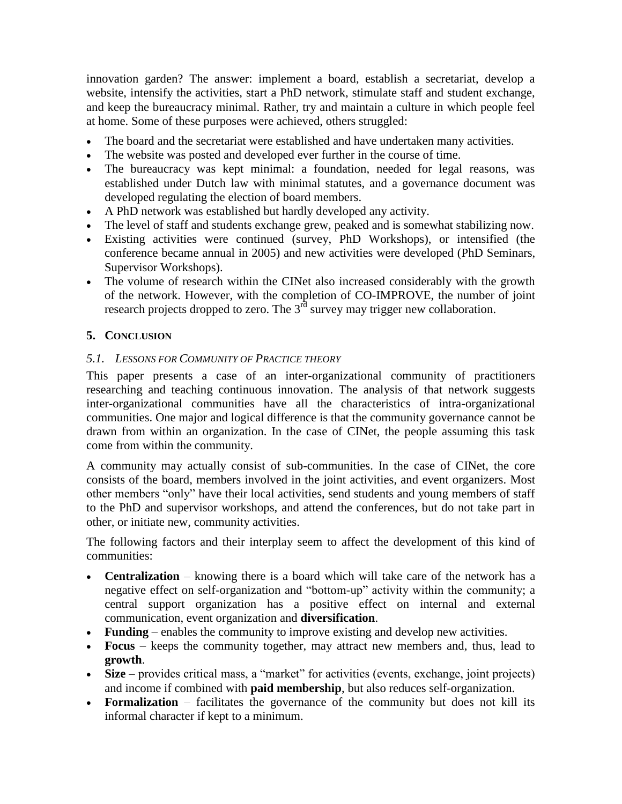innovation garden? The answer: implement a board, establish a secretariat, develop a website, intensify the activities, start a PhD network, stimulate staff and student exchange, and keep the bureaucracy minimal. Rather, try and maintain a culture in which people feel at home. Some of these purposes were achieved, others struggled:

- The board and the secretariat were established and have undertaken many activities.
- The website was posted and developed ever further in the course of time.
- The bureaucracy was kept minimal: a foundation, needed for legal reasons, was established under Dutch law with minimal statutes, and a governance document was developed regulating the election of board members.
- A PhD network was established but hardly developed any activity.
- The level of staff and students exchange grew, peaked and is somewhat stabilizing now.
- Existing activities were continued (survey, PhD Workshops), or intensified (the conference became annual in 2005) and new activities were developed (PhD Seminars, Supervisor Workshops).
- The volume of research within the CINet also increased considerably with the growth of the network. However, with the completion of CO-IMPROVE, the number of joint research projects dropped to zero. The  $3<sup>rd</sup>$  survey may trigger new collaboration.

# **5. CONCLUSION**

## *5.1. LESSONS FOR COMMUNITY OF PRACTICE THEORY*

This paper presents a case of an inter-organizational community of practitioners researching and teaching continuous innovation. The analysis of that network suggests inter-organizational communities have all the characteristics of intra-organizational communities. One major and logical difference is that the community governance cannot be drawn from within an organization. In the case of CINet, the people assuming this task come from within the community.

A community may actually consist of sub-communities. In the case of CINet, the core consists of the board, members involved in the joint activities, and event organizers. Most other members "only" have their local activities, send students and young members of staff to the PhD and supervisor workshops, and attend the conferences, but do not take part in other, or initiate new, community activities.

The following factors and their interplay seem to affect the development of this kind of communities:

- **Centralization** knowing there is a board which will take care of the network has a negative effect on self-organization and "bottom-up" activity within the community; a central support organization has a positive effect on internal and external communication, event organization and **diversification**.
- **Funding** enables the community to improve existing and develop new activities.
- **Focus** keeps the community together, may attract new members and, thus, lead to **growth**.
- **Size** provides critical mass, a "market" for activities (events, exchange, joint projects) and income if combined with **paid membership**, but also reduces self-organization.
- **Formalization** facilitates the governance of the community but does not kill its informal character if kept to a minimum.